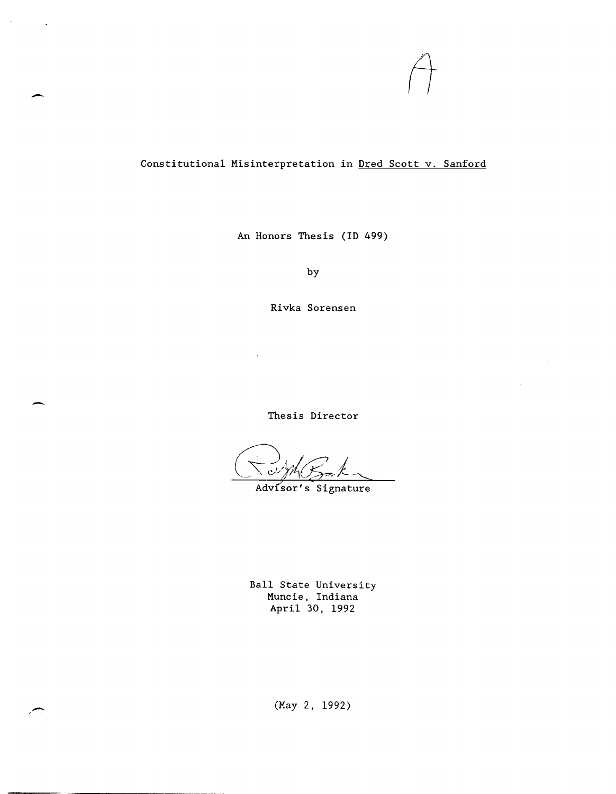

## Constitutional Misinterpretation in Dred Scott v. Sanford

--

,-

An Honors Thesis (ID 499)

by

Rivka Sorensen

Thesis Director

Advisor's Signature

Ball State University Muncie, Indiana April 30, 1992

(May 2, 1992)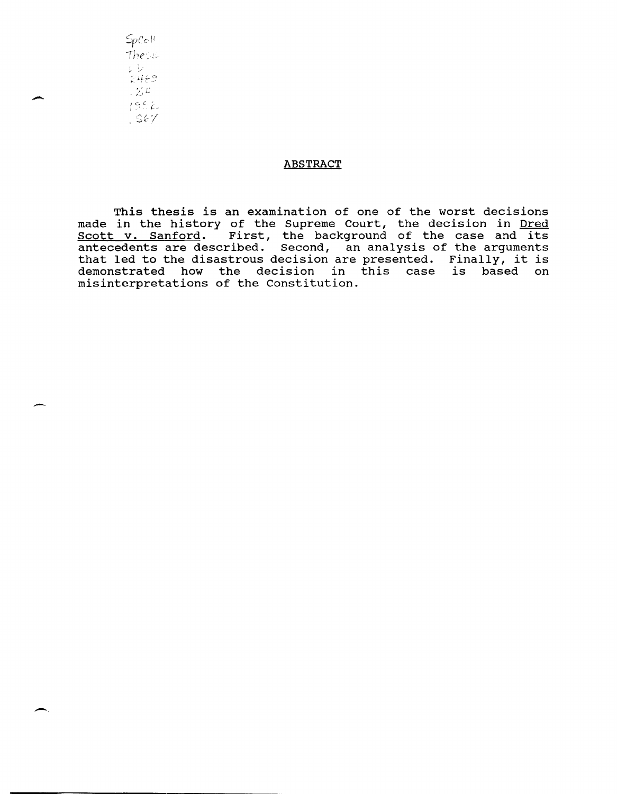$SpCeH$  $\frac{\text{The sum}}{\text{L}^2}$  $2459$  $\lesssim L$  $1952$  $.$   $367$ 

.-

.-

## **ABSTRACT**

This thesis is an examination of one of the worst decisions made in the history of the Supreme Court, the decision in Dred made in the history of the Supreme court, the decision in **Died**<br>Scott v. Sanford. First, the background of the case and its antecedents are described. Second, an analysis of the arguments that led to the disastrous decision are presented. Finally, it is demonstrated how the decision in this case is based on misinterpretations of the Constitution .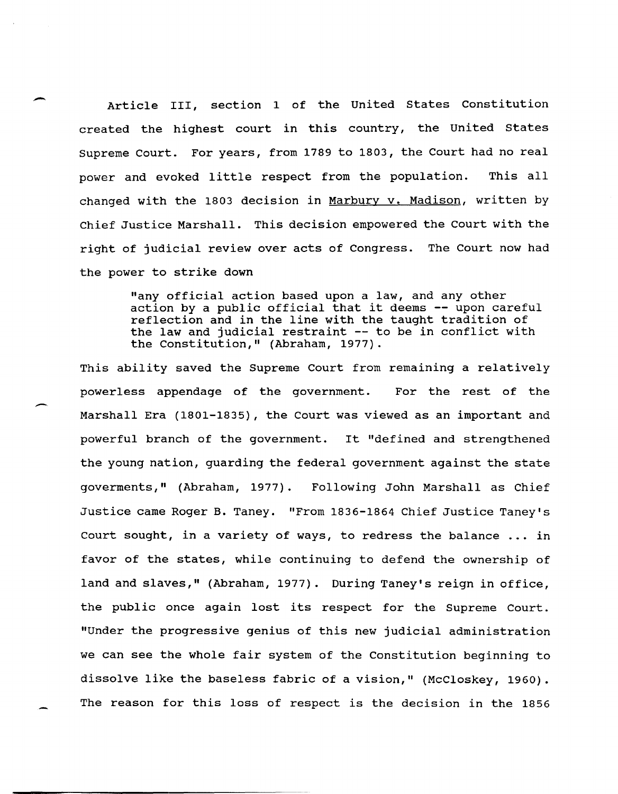Article III, section 1 of the United States Constitution created the highest court in this country, the united states Supreme Court. For years, from 1789 to 1803, the Court had no real power and evoked little respect from the population. This all changed with the 1803 decision in Marbury v. Madison, written by Chief Justice Marshall. This decision empowered the Court with the right of judicial review over acts of Congress. The Court now had the power to strike down

> "any official action based upon a law, and any other action by a public official that it deems **--** upon careful reflection and in the line with the taught tradition of the law and judicial restraint **--** to be in conflict with the Constitution," (Abraham, 1977).

This ability saved the Supreme Court from remaining a relatively powerless appendage of the government. For the rest of the Marshall Era (1801-1835), the Court was viewed as an important and powerful branch of the government. It "defined and strengthened the young nation, guarding the federal government against the state goverments," (Abraham, 1977). Following John Marshall as Chief Justice came Roger B. Taney. "From 1836-1864 Chief Justice Taney's Court sought, in a variety of ways, to redress the balance ... in favor of the states, while continuing to defend the ownership of land and slaves," (Abraham, 1977). During Taney's reign in office, the public once again lost its respect for the Supreme Court. "Under the progressive genius of this new judicial administration we can see the whole fair system of the Constitution beginning to dissolve like the baseless fabric of a vision," (McCloskey, 1960). The reason for this loss of respect is the decision in the 1856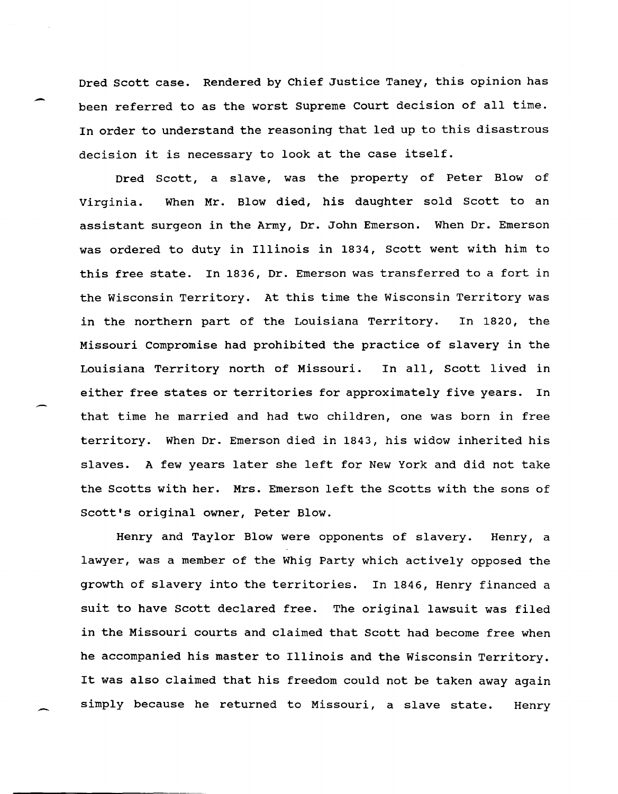Dred Scott case. Rendered by Chief Justice Taney, this opinion has been referred to as the worst Supreme Court decision of all time. In order to understand the reasoning that led up to this disastrous decision it is necessary to look at the case itself.

Dred Scott, a slave, was the property of Peter Blow of Virginia. When Mr. Blow died, his daughter sold Scott to an assistant surgeon in the Army, Dr. John Emerson. When Dr. Emerson was ordered to duty in Illinois in 1834, Scott went with him to this free state. In 1836, Dr. Emerson was transferred to a fort in the Wisconsin Territory. At this time the Wisconsin Territory was in the northern part of the Louisiana Territory. In 1820, the Missouri Compromise had prohibited the practice of slavery in the Louisiana Territory north of Missouri. In all, Scott lived in either free states or territories for approximately five years. In that time he married and had two children, one was born in free territory. When Dr. Emerson died in 1843, his widow inherited his slaves. A few years later she left for New York and did not take the Scotts with her. Mrs. Emerson left the Scotts with the sons of Scott's original owner, Peter Blow.

Henry and Taylor Blow were opponents of slavery. Henry, a lawyer, was a member of the Whig Party which actively opposed the growth of slavery into the territories. In 1846, Henry financed a suit to have Scott declared free. The original lawsuit was filed in the Missouri courts and claimed that Scott had become free when he accompanied his master to Illinois and the Wisconsin Territory. It was also claimed that his freedom could not be taken away again simply because he returned to Missouri, a slave state. Henry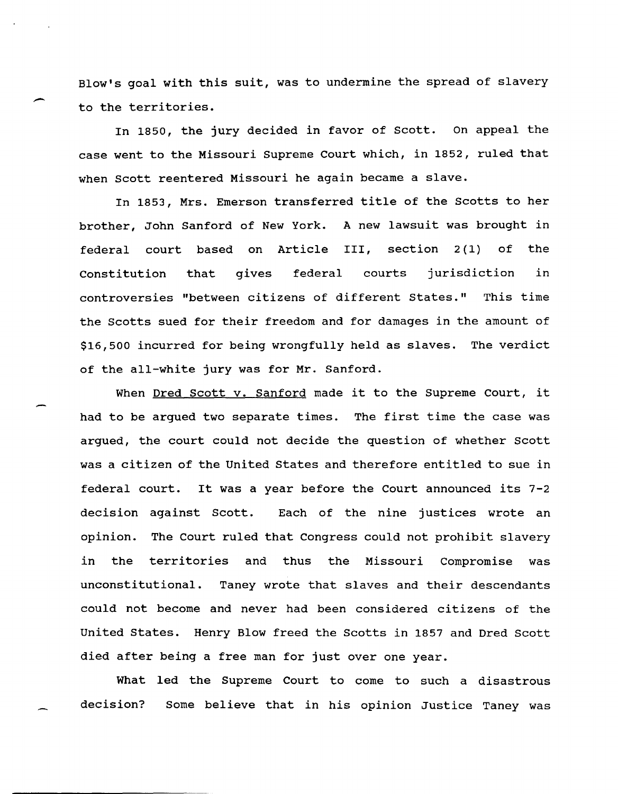Blow's goal with this suit, was to undermine the spread of slavery to the territories.

In 1850, the jury decided in favor of Scott. On appeal the case went to the Missouri Supreme Court which, in 1852, ruled that when Scott reentered Missouri he again became a slave.

In 1853, Mrs. Emerson transferred title of the Scotts to her brother, John Sanford of New York. A new lawsuit was brought in federal court based on Article section  $2(1)$  of the Constitution that gives federal courts jurisdiction in controversies "between citizens of different States." This time the Scotts sued for their freedom and for damages in the amount of \$16,500 incurred for being wrongfully held as slaves. The verdict of the all-white jury was for Mr. Sanford.

When Dred Scott v. Sanford made it to the Supreme Court, it had to be argued two separate times. The first time the case was argued, the court could not decide the question of whether Scott was a citizen of the United states and therefore entitled to sue in federal court. It was a year before the Court announced its 7-2 decision against Scott. opinion. in the Each of the nine justices wrote an The Court ruled that Congress could not prohibit slavery territories and thus the Missouri Compromise was unconstitutional. Taney wrote that slaves and their descendants could not become and never had been considered citizens of the United States. Henry Blow freed the Scotts in 1857 and Dred Scott died after being a free man for just over one year.

What led the Supreme Court to come to such a disastrous decision? Some believe that in his opinion Justice Taney was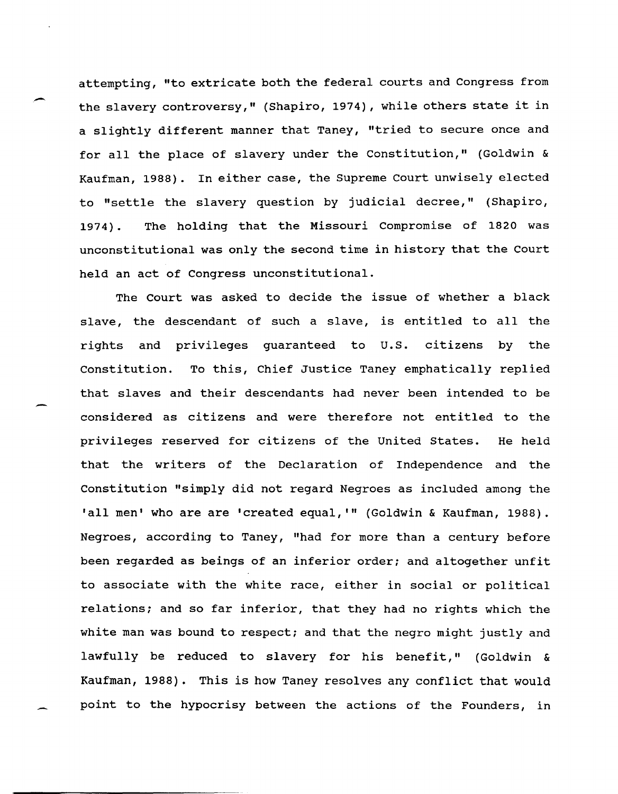attempting, "to extricate both the federal courts and Congress from the slavery controversy," (Shapiro, 1974), while others state it in a slightly different manner that Taney, "tried to secure once and for all the place of slavery under the Constitution," (Goldwin & Kaufman, 1988). In either case, the Supreme Court unwisely elected to "settle the slavery question by judicial decree," (Shapiro, 1974) . The holding that the Missouri Compromise of 1820 was unconstitutional was only the second time in history that the Court held an act of Congress unconstitutional.

The Court was asked to decide the issue of whether a black slave, the descendant of such a slave, is entitled to all the rights and privileges guaranteed to u.S. citizens by the Constitution. To this, Chief Justice Taney emphatically replied that slaves and their descendants had never been intended to be considered as citizens and were therefore not entitled to the privileges reserved for citizens of the United States. He held that the writers of the Declaration of Independence and the Constitution "simply did not regard Negroes as included among the 'all men' who are are 'created equal, **"'** (Goldwin & Kaufman, 1988). Negroes, according to Taney, "had for more than a century before been regarded as beings of an inferior order; and altogether unfit to associate with the white race, either in social or political relations; and so far inferior, that they had no rights which the white man was bound to respect; and that the negro might justly and lawfully be reduced to slavery for his benefit," (Goldwin & Kaufman, 1988). This is how Taney resolves any conflict that would point to the hypocrisy between the actions of the Founders, in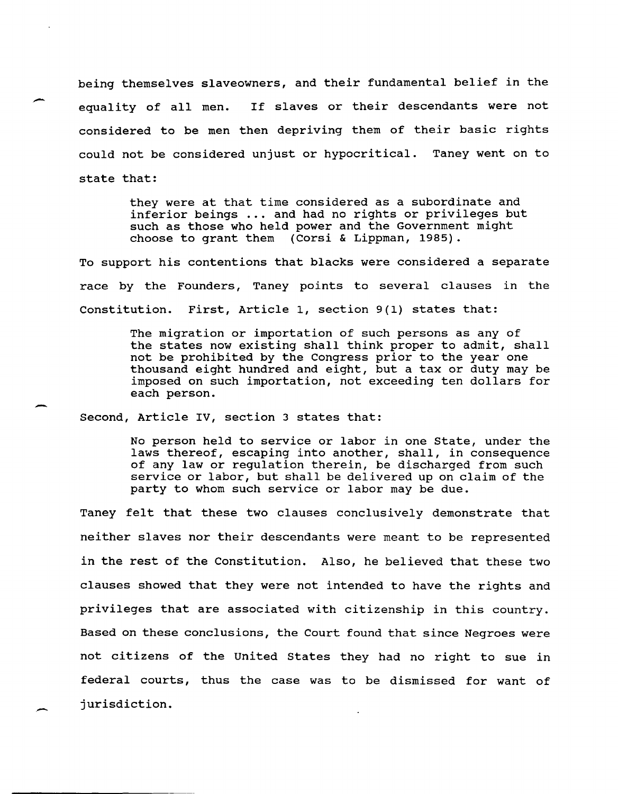being themselves slaveowners, and their fundamental belief in the equality of all men. If slaves or their descendants were not considered to be men then depriving them of their basic rights could not be considered unjust or hypocritical. Taney went on to state that:

> they were at that time considered as a subordinate and inferior beings ... and had no rights or privileges but such as those who held power and the Government might choose to grant them (Corsi & Lippman, 1985).

To support his contentions that blacks were considered a separate race by the Founders, Taney points to several clauses in the Constitution. First, Article 1, section 9(1) states that:

> The migration or importation of such persons as any of the states now existing shall think proper to admit, shall not be prohibited by the Congress prior to the year one thousand eight hundred and eight, but a tax or duty may be imposed on such importation, not exceeding ten dollars for each person.

Second, Article IV, section 3 states that:

-

-

No person held to service or labor in one state, under the laws thereof, escaping into another, shall, in consequence of any law or regulation therein, be discharged from such service or labor, but shall be delivered up on claim of the party to whom such service or labor may be due.

Taney felt that these two clauses conclusively demonstrate that neither slaves nor their descendants were meant to be represented in the rest of the Constitution. Also, he believed that these two clauses showed that they were not intended to have the rights and privileges that are associated with citizenship in this country. Based on these conclusions, the Court found that since Negroes were not citizens of the united States they had no right to sue in federal courts, thus the case was to be dismissed for want of jurisdiction.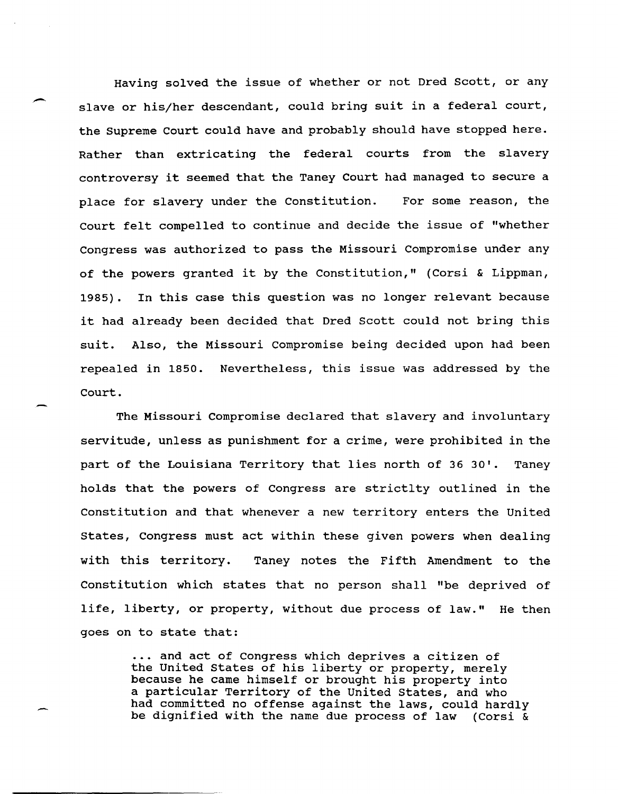Having solved the issue of whether or not Dred Scott, or any slave or his/her descendant, could bring suit in a federal court, the Supreme Court could have and probably should have stopped here. Rather than extricating the federal courts from the slavery controversy it seemed that the Taney Court had managed to secure a place for slavery under the Constitution. For some reason, the Court felt compelled to continue and decide the issue of "whether Congress was authorized to pass the Missouri Compromise under any of the powers granted it by the Constitution," (Corsi & Lippman, 1985). In this case this question was no longer relevant because it had already been decided that Dred Scott could not bring this suit. Also, the Missouri Compromise being decided upon had been repealed in 1850. Nevertheless, this issue was addressed by the Court.

The Missouri Compromise declared that slavery and involuntary servitude, unless as punishment for a crime, were prohibited in the part of the Louisiana Territory that lies north of 36 30'. Taney holds that the powers of Congress are strictlty outlined in the Constitution and that whenever a new territory enters the united States, Congress must act within these given powers when dealing with this territory. Taney notes the Fifth Amendment to the Constitution which states that no person shall "be deprived of life, liberty, or property, without due process of law." He then goes on to state that:

> ... and act of Congress which deprives a citizen of the united states of his liberty or property, merely because he came himself or brought his property into a particular Territory of the United States, and who had committed no offense against the laws, could hardly be dignified with the name due process of law (Corsi &

.-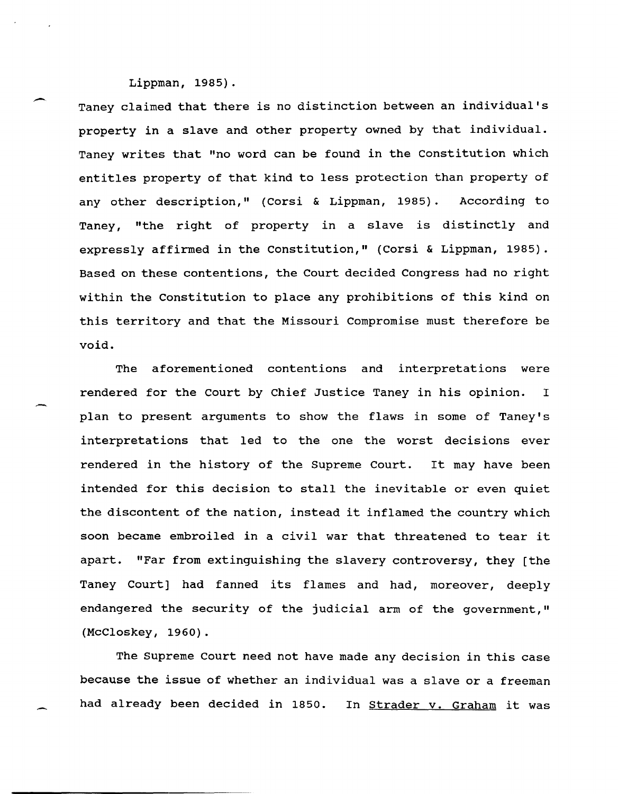- Lippman, 1985). Taney claimed that there is no distinction between an individual's property in a slave and other property owned by that individual. Taney writes that "no word can be found in the constitution which entitles property of that kind to less protection than property of any other description," (Corsi & Lippman, 1985). According to Taney, "the right of property in a slave is distinctly and expressly affirmed in the Constitution," (Corsi & Lippman, 1985). Based on these contentions, the Court decided Congress had no right within the Constitution to place any prohibitions of this kind on this territory and that the Missouri Compromise must therefore be void.

The aforementioned contentions and interpretations were rendered for the Court by Chief Justice Taney in his opinion. I plan to present arguments to show the flaws in some of Taney's interpretations that led to the one the worst decisions ever rendered in the history of the Supreme Court. It may have been intended for this decision to stall the inevitable or even quiet the discontent of the nation, instead it inflamed the country which soon became embroiled in a civil war that threatened to tear it apart. "Far from extinguishing the slavery controversy, they [the Taney Court] had fanned its flames and had, moreover, deeply endangered the security of the judicial arm of the government," (McCloskey, 1960).

The Supreme Court need not have made any decision in this case because the issue of whether an individual was a slave or a freeman had already been decided in 1850. In Strader v. Graham it was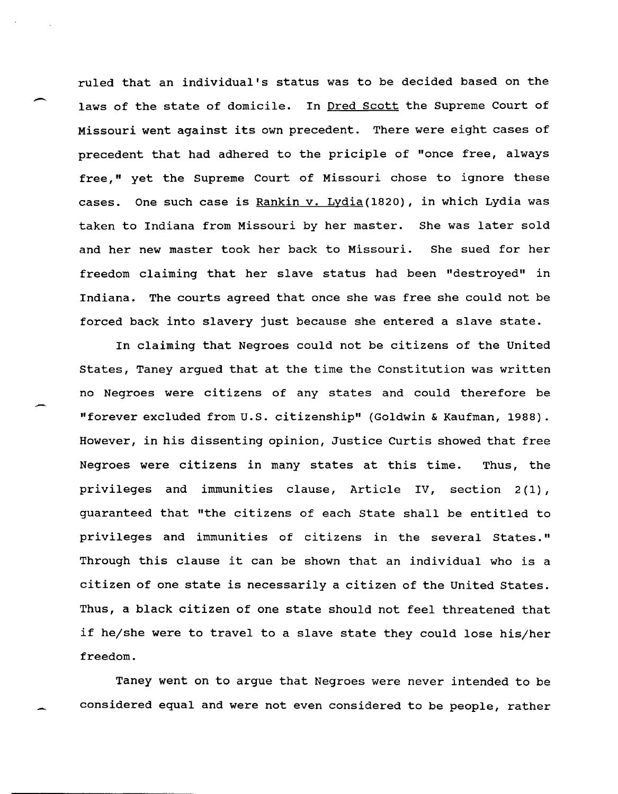ruled that an individual's status was to be decided based on the laws of the state of domicile. In Dred Scott the Supreme Court of Missouri went against its own precedent. There were eight cases of precedent that had adhered to the priciple of "once free, always free," yet the Supreme Court of Missouri chose to ignore these cases. One such case is Rankin v. Lydia(1820), in which Lydia was taken to Indiana from Missouri by her master. She was later sold and her new master took her back to Missouri. She sued for her freedom claiming that her slave status had been "destroyed" in Indiana. The courts agreed that once she was free she could not be forced back into slavery just because she entered a slave state.

 $\overline{\phantom{a}}$ 

-

In claiming that Negroes could not be citizens of the United States, Taney argued that at the time the Constitution was written no Negroes were citizens of any states and could therefore be "forever excluded from U.S. citizenship" (Goldwin & Kaufman, 1988). However, in his dissenting opinion, Justice Curtis showed that free Negroes were citizens in many states at this time. Thus, the privileges and immunities clause, Article IV, section 2(1), guaranteed that "the citizens of each State shall be entitled to privileges and immunities of citizens in the several States." Through this clause it can be shown that an individual who is a citizen of one state is necessarily a citizen of the United States. Thus, a black citizen of one state should not feel threatened that if he/she were to travel to a slave state they could lose his/her freedom.

Taney went on to argue that Negroes were never intended to be considered equal and were not even considered to be people, rather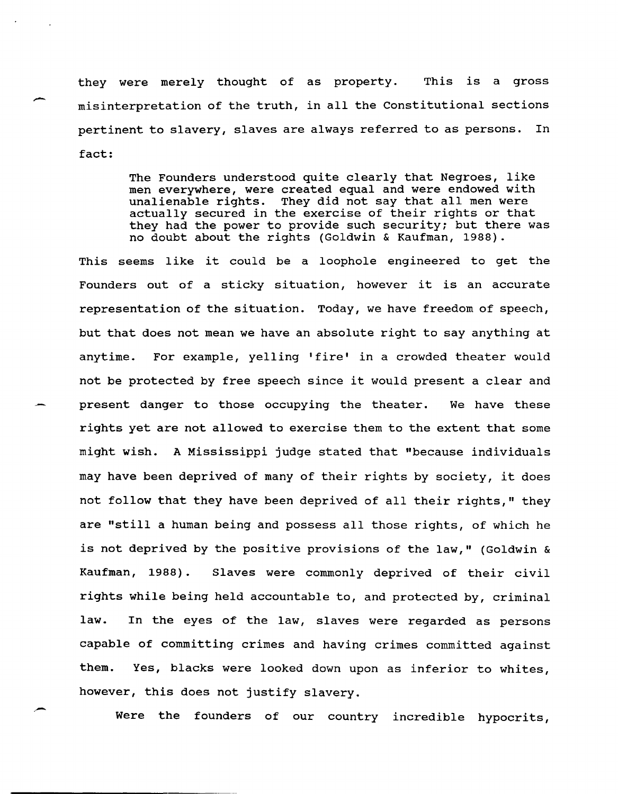they were merely thought of as property. This is a gross misinterpretation of the truth, in all the constitutional sections pertinent to slavery, slaves are always referred to as persons. In fact:

> The Founders understood quite clearly that Negroes, like men everywhere, were created equal and were endowed with unalienable rights. They did not say that all men were actually secured in the exercise of their rights or that they had the power to provide such security; but there was no doubt about the rights (Goldwin & Kaufman, 1988).

This seems like it could be a loophole engineered to get the Founders out of a sticky situation, however it is an accurate representation of the situation. Today, we have freedom of speech, but that does not mean we have an absolute right to say anything at anytime. For example, yelling 'fire' in a crowded theater would not be protected by free speech since it would present a clear and present danger to those occupying the theater. We have these rights yet are not allowed to exercise them to the extent that some might wish. A Mississippi judge stated that "because individuals may have been deprived of many of their rights by society, it does not follow that they have been deprived of all their rights," they are "still a human being and possess all those rights, of which he is not deprived by the positive provisions of the law," (Goldwin & Kaufman, 1988). Slaves were commonly deprived of their civil rights while being held accountable to, and protected by, criminal law. In the eyes of the law, slaves were regarded as persons capable of committing crimes and having crimes committed against them. Yes, blacks were looked down upon as inferior to whites, however, this does not justify slavery.

Were the founders of our country incredible hypocrits,

. -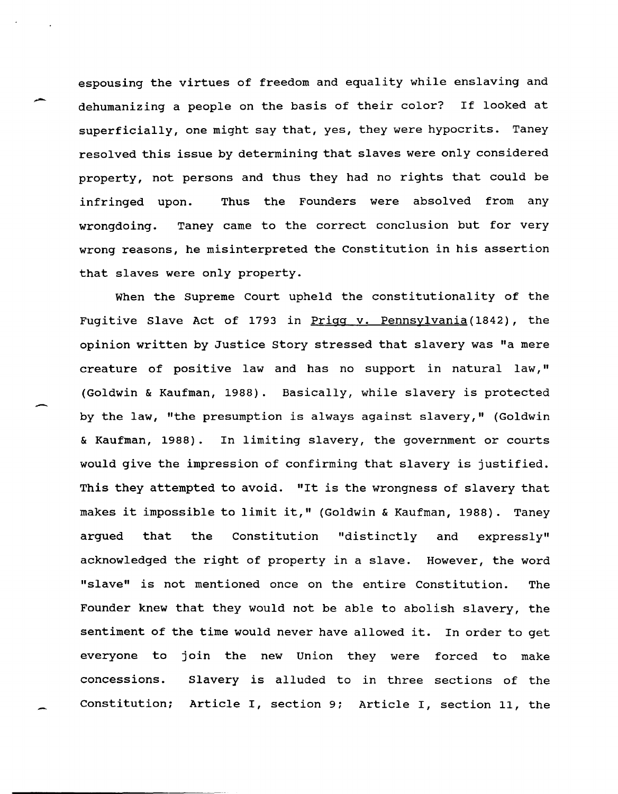espousing the virtues of freedom and equality while enslaving and dehumanizing a people on the basis of their color? If looked at superficially, one might say that, yes, they were hypocrits. Taney resolved this issue by determining that slaves were only considered property, not persons and thus they had no rights that could be infringed upon. Thus the Founders were absolved from any wrongdoing. Taney came to the correct conclusion but for very wrong reasons, he misinterpreted the constitution in his assertion that slaves were only property.

When the Supreme Court upheld the constitutionality of the Fugitive Slave Act of 1793 in Prigg v. Pennsylvania(1842), the opinion written by Justice Story stressed that slavery was "a mere creature of positive law and has no support in natural law," (Goldwin & Kaufman, 1988). Basically, while slavery is protected by the law, "the presumption is always against slavery," (Goldwin & Kaufman, 1988). In limiting slavery, the government or courts would give the impression of confirming that slavery is justified. This they attempted to avoid. "It is the wrongness of slavery that makes it impossible to limit it," (Goldwin & Kaufman, 1988). Taney argued that the Constitution "distinctly and expressly" acknowledged the right of property in a slave. However, the word "slave" is not mentioned once on the entire Constitution. The Founder knew that they would not be able to abolish slavery, the sentiment of the time would never have allowed it. In order to get everyone to join the new Union they were forced to make concessions. Slavery is alluded to in three sections of the Constitution; Article I, section 9: Article I, section 11, the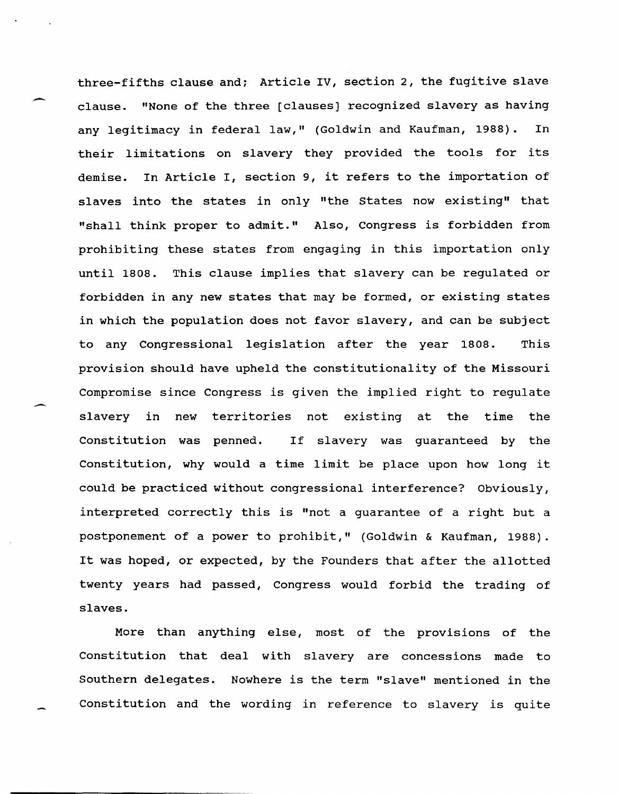three-fifths clause and; Article IV, section 2, the fugitive slave clause. "None of the three [clauses] recognized slavery as having any legitimacy in federal law," (Goldwin and Kaufman, 1988). In their limitations on slavery they provided the tools for its demise. In Article I, section 9, it refers to the importation of slaves into the states in only "the states now existing" that "shall think proper to admit." Also, Congress is forbidden from prohibiting these states from engaging in this importation only until 1808. This clause implies that slavery can be regulated or forbidden in any new states that may be formed, or existing states in which the population does not favor slavery, and can be subject to any Congressional legislation after the year 1808. This provision should have upheld the constitutionality of the Missouri Compromise since Congress is given the implied right to regulate slavery in new territories not existing at the time the Constitution was penned. If slavery was quaranteed by the Constitution, why would a time limit be place upon how long it could be practiced without congressional interference? Obviously, interpreted correctly this is "not a guarantee of a right but a postponement of a power to prohibit," (Goldwin & Kaufman, 1988). It was hoped, or expected, by the Founders that after the allotted twenty years had passed, Congress would forbid the trading of slaves.

More than anything else, most of the provisions of the Constitution that deal with slavery are concessions made to southern delegates. Nowhere is the term "slave" mentioned in the Constitution and the wording in reference to slavery is quite

 $\overline{\phantom{a}}$ 

 $\overline{\phantom{0}}$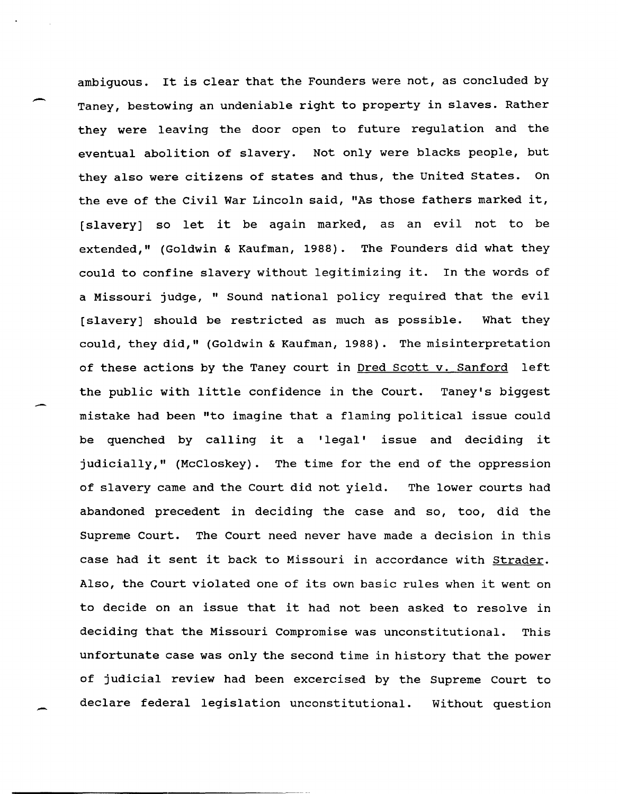ambiguous. It is clear that the Founders were not, as concluded by Taney, bestowing an undeniable right to property in slaves. Rather they were leaving the door open to future regulation and the eventual abolition of slavery. Not only were blacks people, but they also were citizens of states and thus, the united states. On the eve of the civil War Lincoln said, "As those fathers marked it, [slavery] so let it be again marked, as an evil not to be extended," (Goldwin & Kaufman, 1988). The Founders did what they could to confine slavery without legitimizing it. In the words of a Missouri judge, " Sound national policy required that the evil [slavery] should be restricted as much as possible. What they could, they did," (Goldwin & Kaufman, 1988). The misinterpretation of these actions by the Taney court in Dred scott v. Sanford left the public with little confidence in the Court. Taney's biggest mistake had been "to imagine that a flaming political issue could be quenched by calling it a 'legal' issue and deciding it judicially," (McCloskey). The time for the end of the oppression of slavery came and the Court did not yield. The lower courts had abandoned precedent in deciding the case and so, too, did the Supreme Court. The Court need never have made a decision in this case had it sent it back to Missouri in accordance with Strader. Also, the Court violated one of its own basic rules when it went on to decide on an issue that it had not been asked to resolve in deciding that the Missouri Compromise was unconstitutional. This unfortunate case was only the second time in history that the power of judicial review had been excercised by the Supreme Court to declare federal legislation unconstitutional. Without question

-

-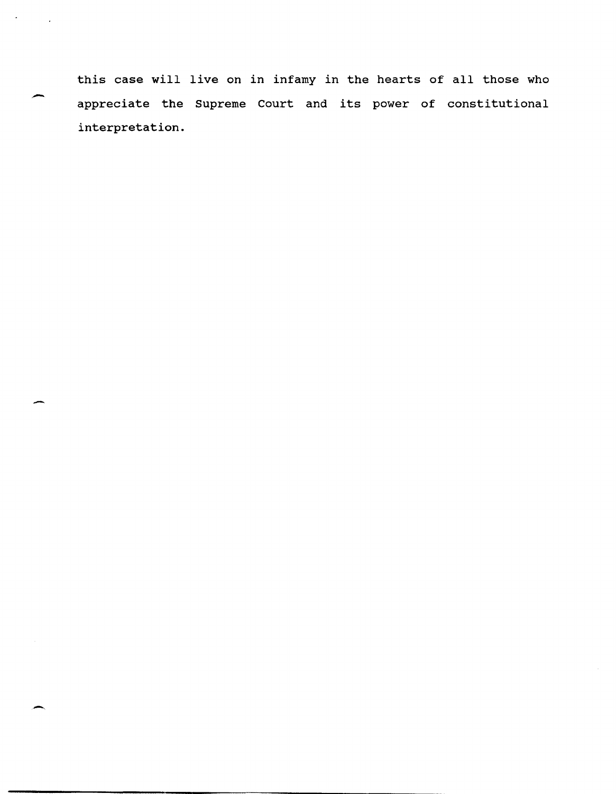this case will live on in infamy in the hearts of all those who appreciate the Supreme Court and its power of constitutional interpretation.

-

 $\sigma_{\rm{max}}=1$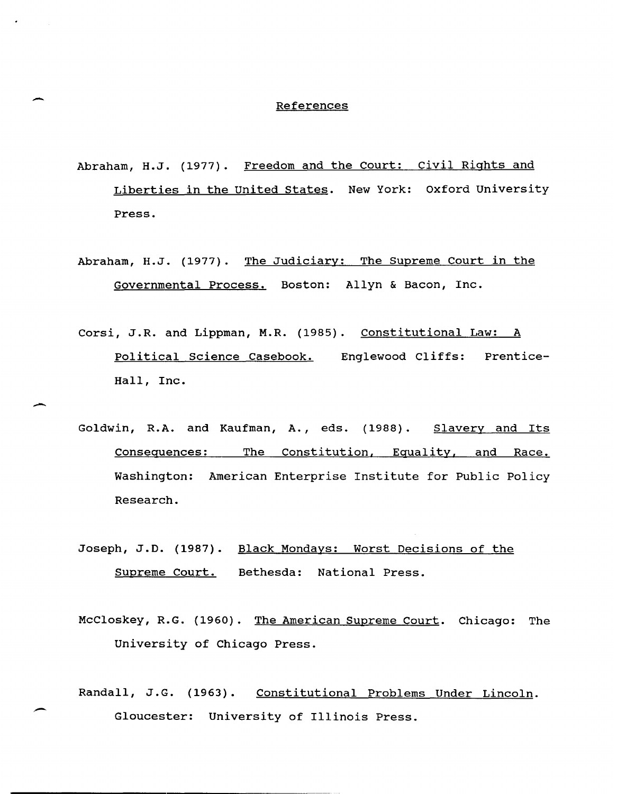## **References**

--

-

- Abraham, H.J. (1977). Freedom and the Court: civil Rights and Liberties in the united states. New York: Oxford University Press.
- Abraham, H.J. (1977). The Judiciary: The Supreme Court in the Governmental Process. Boston: Allyn & Bacon, Inc.
- Corsi, J.R. and Lippman, M.R. (1985). Constitutional Law: A Political Science Casebook. Englewood Cliffs: Prentice-Hall, Inc.
- Goldwin, R.A. and Kaufman, A., eds. (1988). Slavery and Its Consequences: The Constitution, Eguality, and Race. Washington: American Enterprise Institute for Public Policy Research.
- Joseph, J.D. (1987). Black Mondays: Worst Decisions of the Supreme Court. Bethesda: National Press.
- McCloskey, R.G. (1960). The American Supreme Court. Chicago: The University of Chicago Press.
- Randall, J.G. (1963). Constitutional Problems Under Lincoln. Gloucester: University of Illinois Press.